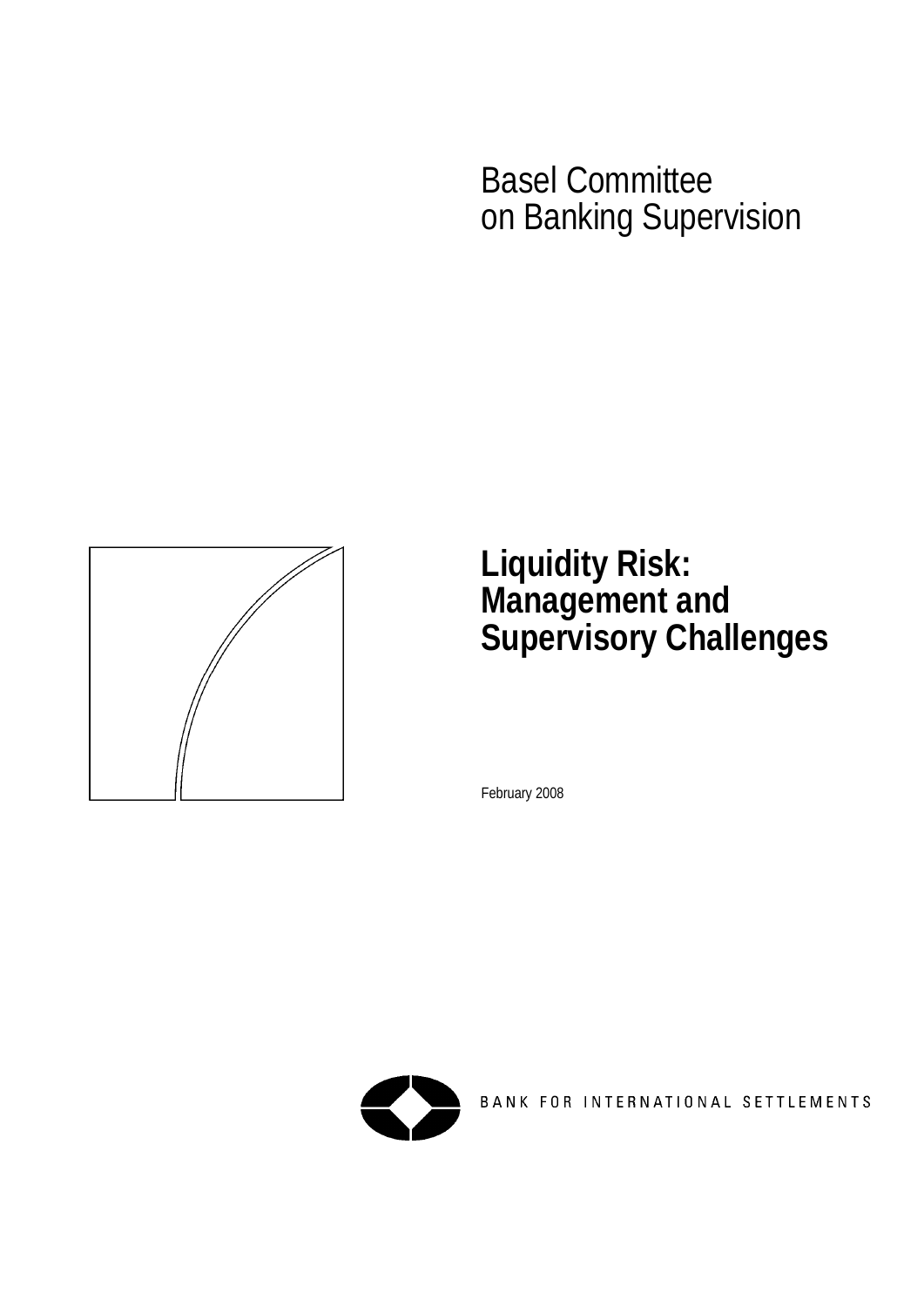Basel Committee on Banking Supervision



# **Liquidity Risk: Management and Supervisory Challenges**

February 2008



BANK FOR INTERNATIONAL SETTLEMENTS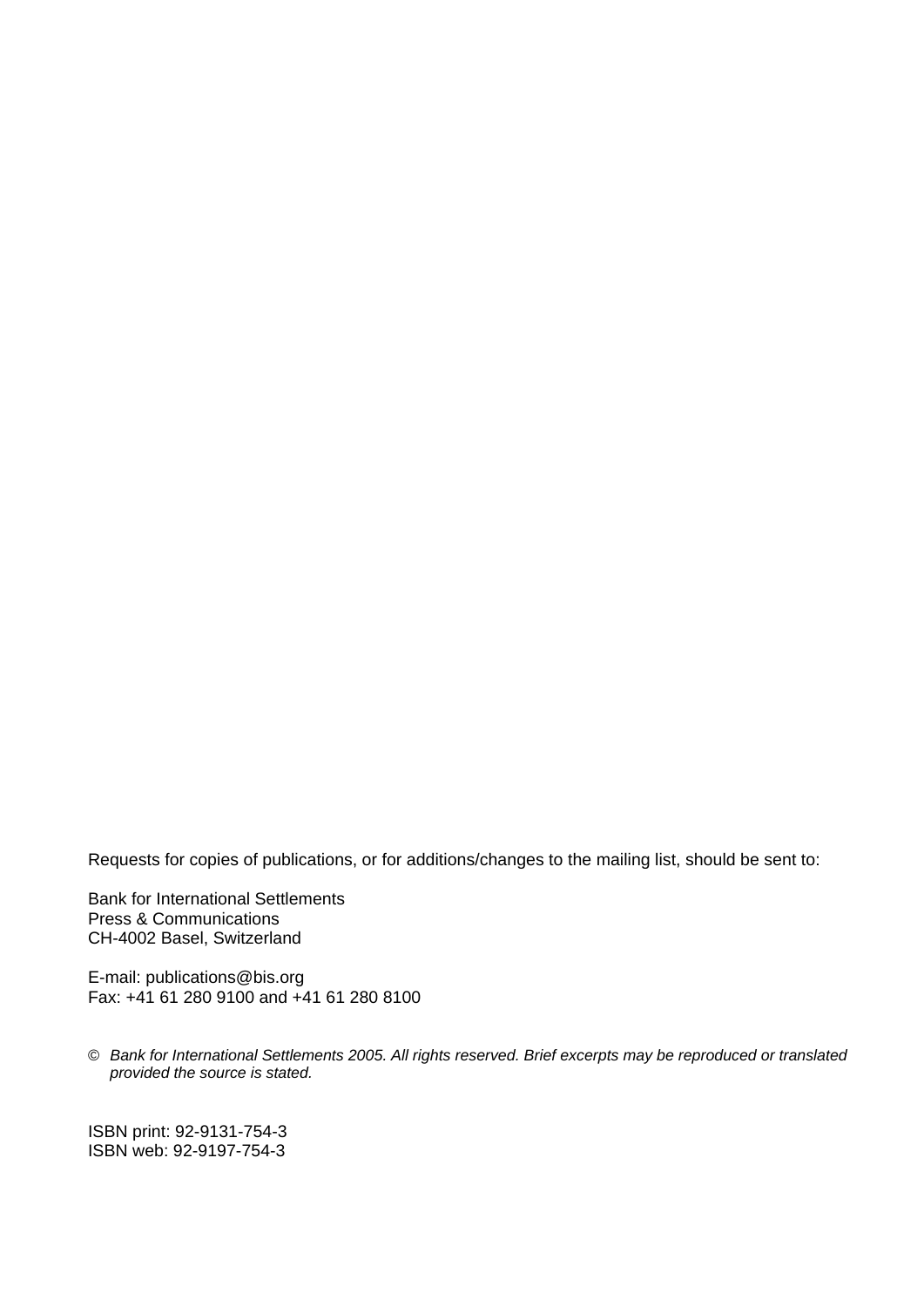Requests for copies of publications, or for additions/changes to the mailing list, should be sent to:

Bank for International Settlements Press & Communications CH-4002 Basel, Switzerland

E-mail: [publications@bis.org](mailto:publications@bis.org) Fax: +41 61 280 9100 and +41 61 280 8100

© *Bank for International Settlements 2005. All rights reserved. Brief excerpts may be reproduced or translated provided the source is stated.* 

ISBN print: 92-9131-754-3 ISBN web: 92-9197-754-3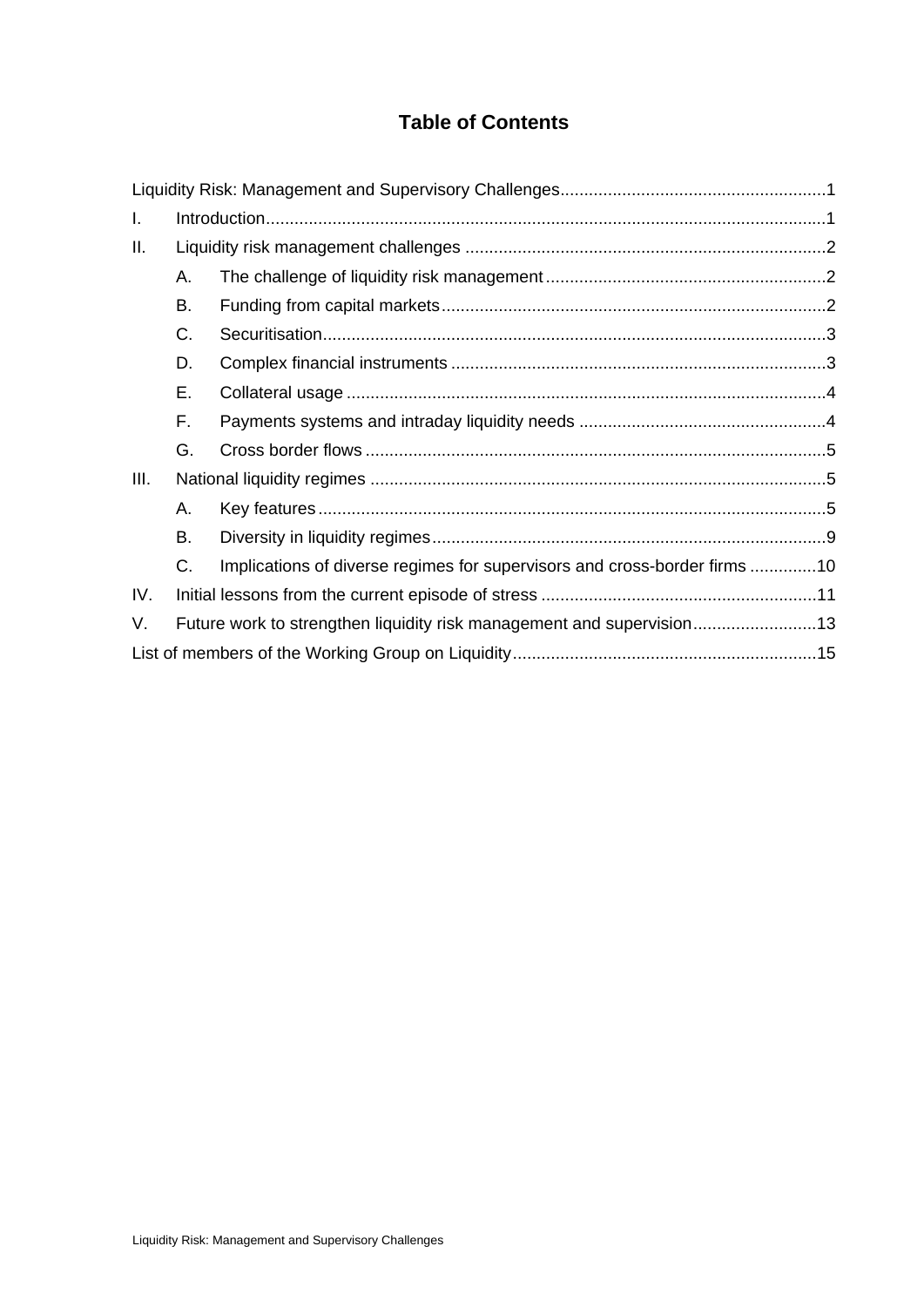# **Table of Contents**

| I.   |                                                                       |                                                                           |  |
|------|-----------------------------------------------------------------------|---------------------------------------------------------------------------|--|
| Ш.   |                                                                       |                                                                           |  |
|      | Α.                                                                    |                                                                           |  |
|      | В.                                                                    |                                                                           |  |
|      | C.                                                                    |                                                                           |  |
|      | D.                                                                    |                                                                           |  |
|      | Е.                                                                    |                                                                           |  |
|      | F.                                                                    |                                                                           |  |
|      | G.                                                                    |                                                                           |  |
| III. |                                                                       |                                                                           |  |
|      | А.                                                                    |                                                                           |  |
|      | В.                                                                    |                                                                           |  |
|      | C.                                                                    | Implications of diverse regimes for supervisors and cross-border firms 10 |  |
| IV.  |                                                                       |                                                                           |  |
| V.   | Future work to strengthen liquidity risk management and supervision13 |                                                                           |  |
|      |                                                                       |                                                                           |  |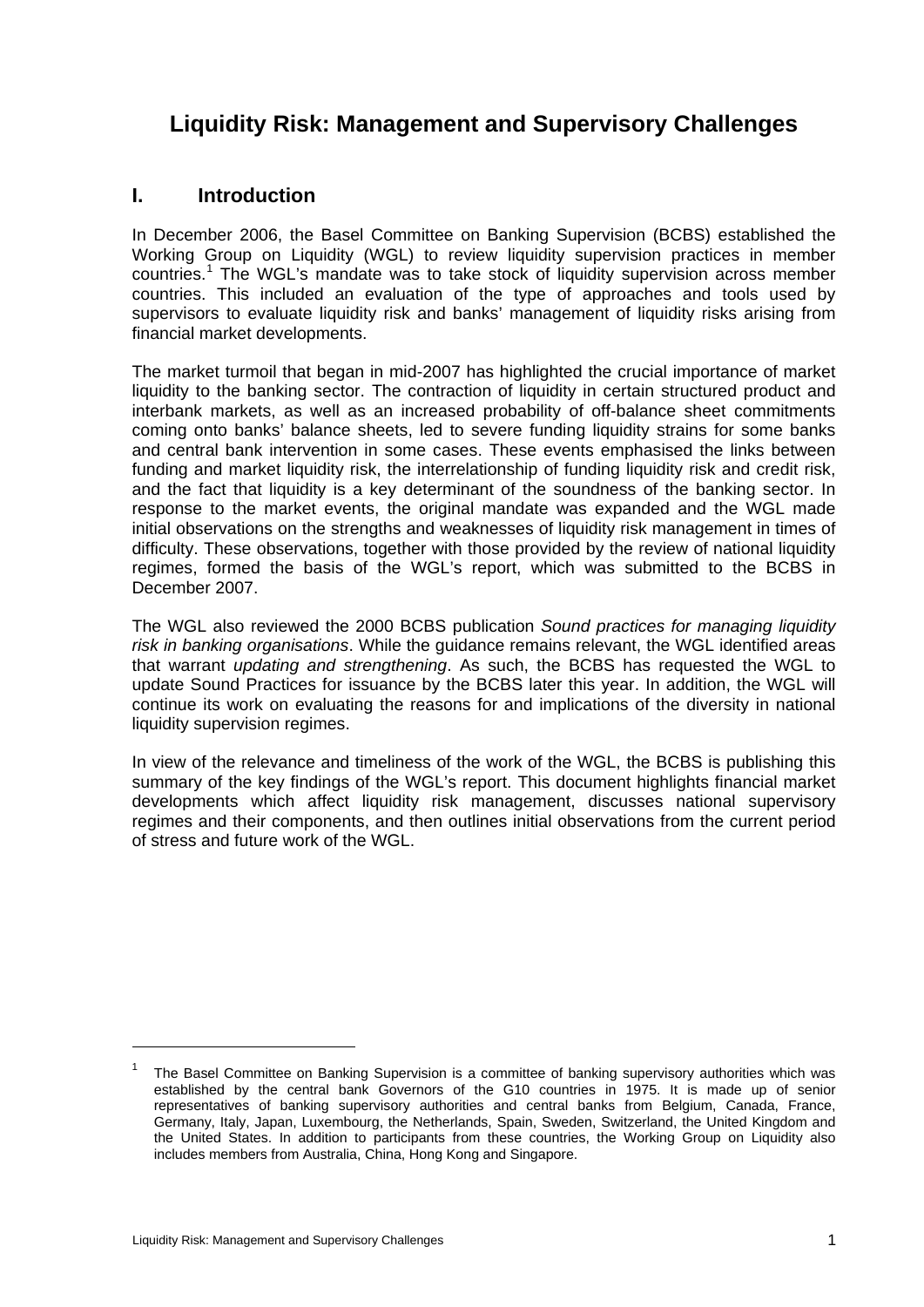# <span id="page-6-0"></span>**Liquidity Risk: Management and Supervisory Challenges**

# **I. Introduction**

In December 2006, the Basel Committee on Banking Supervision (BCBS) established the Working Group on Liquidity (WGL) to review liquidity supervision practices in member countries.<sup>[1](#page-6-1)</sup> The WGL's mandate was to take stock of liquidity supervision across member countries. This included an evaluation of the type of approaches and tools used by supervisors to evaluate liquidity risk and banks' management of liquidity risks arising from financial market developments.

The market turmoil that began in mid-2007 has highlighted the crucial importance of market liquidity to the banking sector. The contraction of liquidity in certain structured product and interbank markets, as well as an increased probability of off-balance sheet commitments coming onto banks' balance sheets, led to severe funding liquidity strains for some banks and central bank intervention in some cases. These events emphasised the links between funding and market liquidity risk, the interrelationship of funding liquidity risk and credit risk, and the fact that liquidity is a key determinant of the soundness of the banking sector. In response to the market events, the original mandate was expanded and the WGL made initial observations on the strengths and weaknesses of liquidity risk management in times of difficulty. These observations, together with those provided by the review of national liquidity regimes, formed the basis of the WGL's report, which was submitted to the BCBS in December 2007.

The WGL also reviewed the 2000 BCBS publication *Sound practices for managing liquidity risk in banking organisations*. While the guidance remains relevant, the WGL identified areas that warrant *updating and strengthening*. As such, the BCBS has requested the WGL to update Sound Practices for issuance by the BCBS later this year. In addition, the WGL will continue its work on evaluating the reasons for and implications of the diversity in national liquidity supervision regimes.

In view of the relevance and timeliness of the work of the WGL, the BCBS is publishing this summary of the key findings of the WGL's report. This document highlights financial market developments which affect liquidity risk management, discusses national supervisory regimes and their components, and then outlines initial observations from the current period of stress and future work of the WGL.

<span id="page-6-1"></span><sup>1</sup> The Basel Committee on Banking Supervision is a committee of banking supervisory authorities which was established by the central bank Governors of the G10 countries in 1975. It is made up of senior representatives of banking supervisory authorities and central banks from Belgium, Canada, France, Germany, Italy, Japan, Luxembourg, the Netherlands, Spain, Sweden, Switzerland, the United Kingdom and the United States. In addition to participants from these countries, the Working Group on Liquidity also includes members from Australia, China, Hong Kong and Singapore.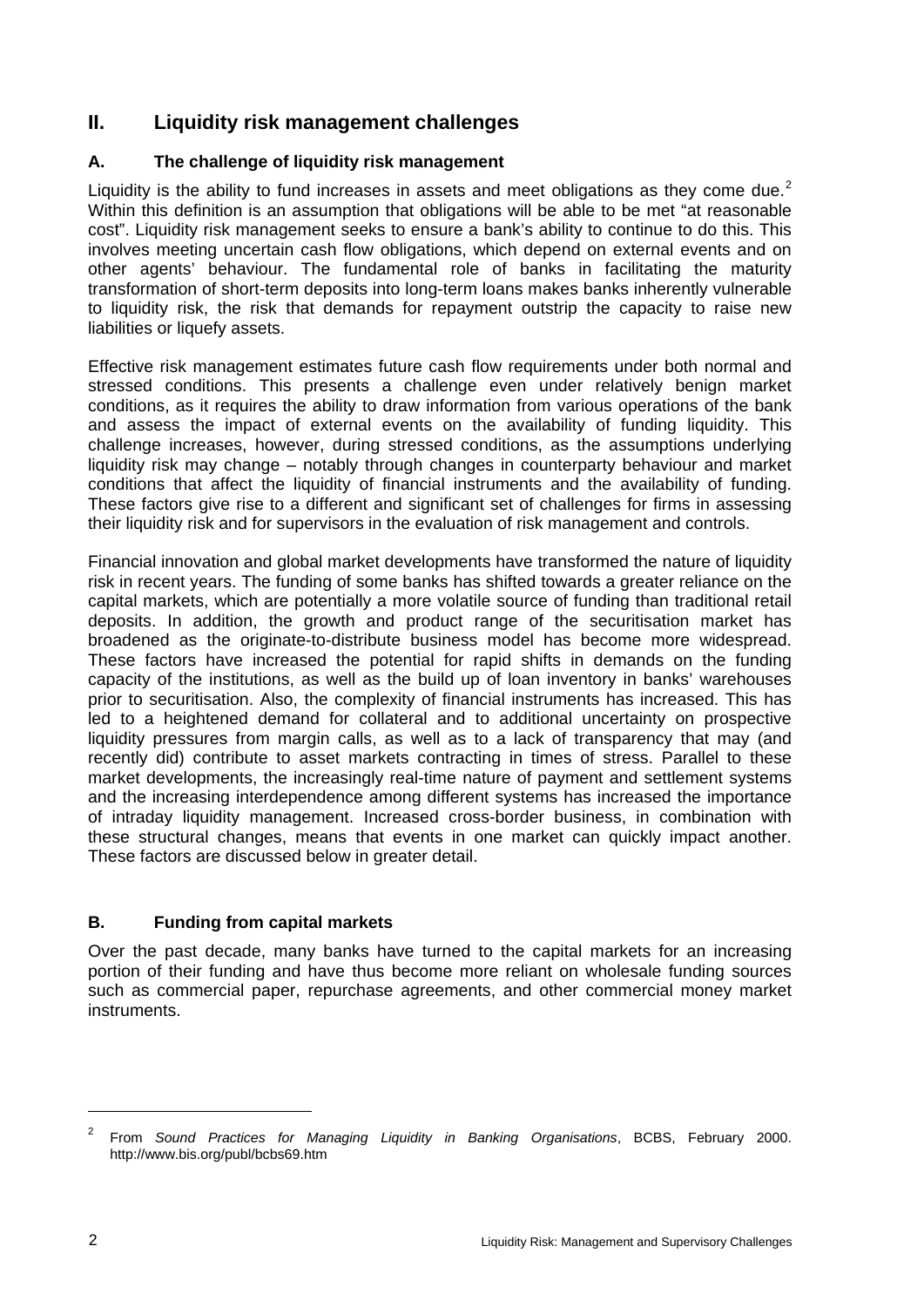# <span id="page-7-0"></span>**II. Liquidity risk management challenges**

### **A. The challenge of liquidity risk management**

Liquidity is the ability to fund increases in assets and meet obligations as they come due.<sup>[2](#page-7-1)</sup> Within this definition is an assumption that obligations will be able to be met "at reasonable cost". Liquidity risk management seeks to ensure a bank's ability to continue to do this. This involves meeting uncertain cash flow obligations, which depend on external events and on other agents' behaviour. The fundamental role of banks in facilitating the maturity transformation of short-term deposits into long-term loans makes banks inherently vulnerable to liquidity risk, the risk that demands for repayment outstrip the capacity to raise new liabilities or liquefy assets.

Effective risk management estimates future cash flow requirements under both normal and stressed conditions. This presents a challenge even under relatively benign market conditions, as it requires the ability to draw information from various operations of the bank and assess the impact of external events on the availability of funding liquidity. This challenge increases, however, during stressed conditions, as the assumptions underlying liquidity risk may change – notably through changes in counterparty behaviour and market conditions that affect the liquidity of financial instruments and the availability of funding. These factors give rise to a different and significant set of challenges for firms in assessing their liquidity risk and for supervisors in the evaluation of risk management and controls.

Financial innovation and global market developments have transformed the nature of liquidity risk in recent years. The funding of some banks has shifted towards a greater reliance on the capital markets, which are potentially a more volatile source of funding than traditional retail deposits. In addition, the growth and product range of the securitisation market has broadened as the originate-to-distribute business model has become more widespread. These factors have increased the potential for rapid shifts in demands on the funding capacity of the institutions, as well as the build up of loan inventory in banks' warehouses prior to securitisation. Also, the complexity of financial instruments has increased. This has led to a heightened demand for collateral and to additional uncertainty on prospective liquidity pressures from margin calls, as well as to a lack of transparency that may (and recently did) contribute to asset markets contracting in times of stress. Parallel to these market developments, the increasingly real-time nature of payment and settlement systems and the increasing interdependence among different systems has increased the importance of intraday liquidity management. Increased cross-border business, in combination with these structural changes, means that events in one market can quickly impact another. These factors are discussed below in greater detail.

# **B. Funding from capital markets**

Over the past decade, many banks have turned to the capital markets for an increasing portion of their funding and have thus become more reliant on wholesale funding sources such as commercial paper, repurchase agreements, and other commercial money market instruments.

<span id="page-7-1"></span><sup>2</sup> From *Sound Practices for Managing Liquidity in Banking Organisations*, BCBS, February 2000. http://www.bis.org/publ/bcbs69.htm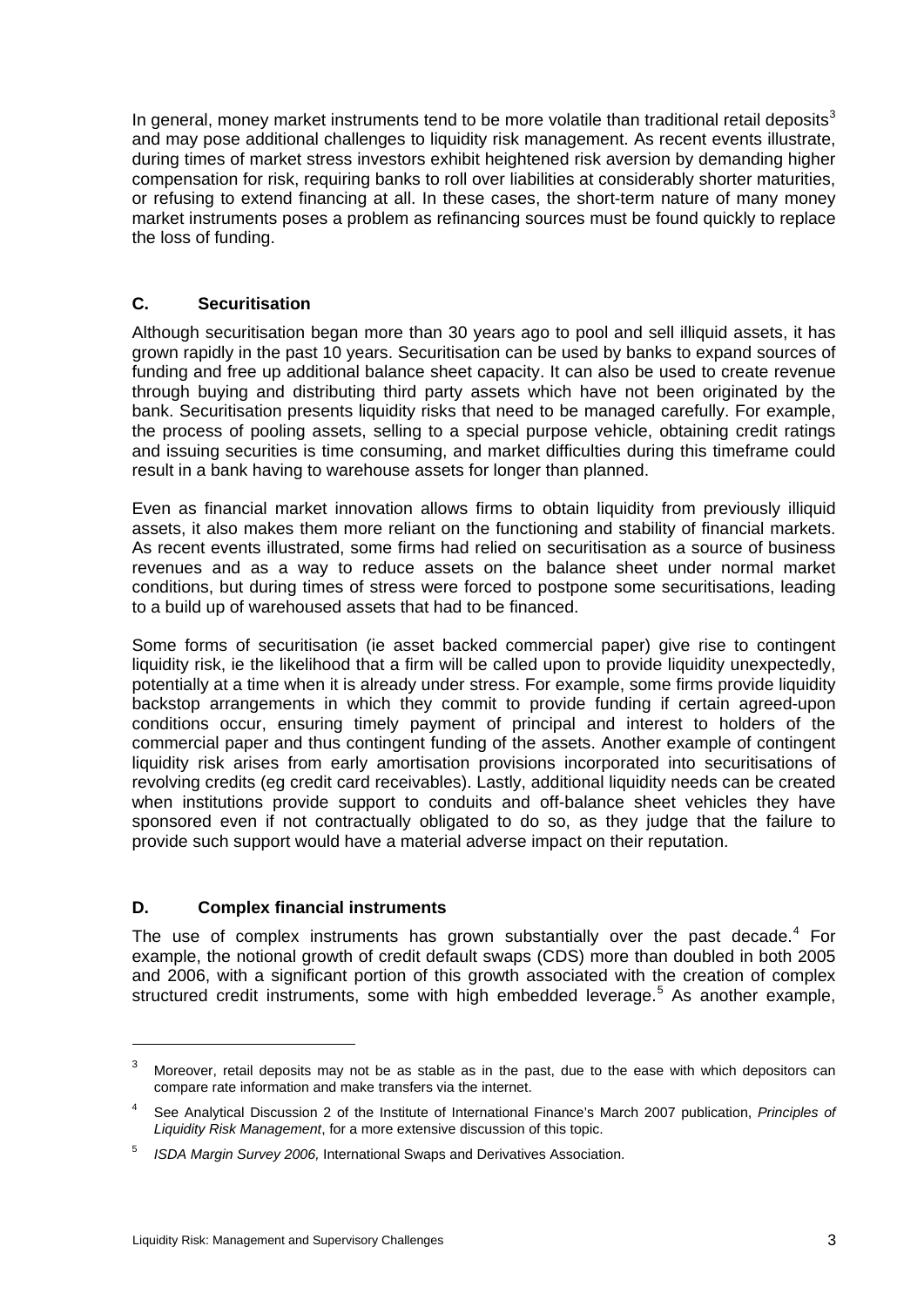<span id="page-8-0"></span>In general, money market instruments tend to be more volatile than traditional retail deposits<sup>[3](#page-8-1)</sup> and may pose additional challenges to liquidity risk management. As recent events illustrate, during times of market stress investors exhibit heightened risk aversion by demanding higher compensation for risk, requiring banks to roll over liabilities at considerably shorter maturities, or refusing to extend financing at all. In these cases, the short-term nature of many money market instruments poses a problem as refinancing sources must be found quickly to replace the loss of funding.

#### **C. Securitisation**

Although securitisation began more than 30 years ago to pool and sell illiquid assets, it has grown rapidly in the past 10 years. Securitisation can be used by banks to expand sources of funding and free up additional balance sheet capacity. It can also be used to create revenue through buying and distributing third party assets which have not been originated by the bank. Securitisation presents liquidity risks that need to be managed carefully. For example, the process of pooling assets, selling to a special purpose vehicle, obtaining credit ratings and issuing securities is time consuming, and market difficulties during this timeframe could result in a bank having to warehouse assets for longer than planned.

Even as financial market innovation allows firms to obtain liquidity from previously illiquid assets, it also makes them more reliant on the functioning and stability of financial markets. As recent events illustrated, some firms had relied on securitisation as a source of business revenues and as a way to reduce assets on the balance sheet under normal market conditions, but during times of stress were forced to postpone some securitisations, leading to a build up of warehoused assets that had to be financed.

Some forms of securitisation (ie asset backed commercial paper) give rise to contingent liquidity risk, ie the likelihood that a firm will be called upon to provide liquidity unexpectedly, potentially at a time when it is already under stress. For example, some firms provide liquidity backstop arrangements in which they commit to provide funding if certain agreed-upon conditions occur, ensuring timely payment of principal and interest to holders of the commercial paper and thus contingent funding of the assets. Another example of contingent liquidity risk arises from early amortisation provisions incorporated into securitisations of revolving credits (eg credit card receivables). Lastly, additional liquidity needs can be created when institutions provide support to conduits and off-balance sheet vehicles they have sponsored even if not contractually obligated to do so, as they judge that the failure to provide such support would have a material adverse impact on their reputation.

### **D. Complex financial instruments**

-

The use of complex instruments has grown substantially over the past decade. $4$  For example, the notional growth of credit default swaps (CDS) more than doubled in both 2005 and 2006, with a significant portion of this growth associated with the creation of complex structured credit instruments, some with high embedded leverage.<sup>[5](#page-8-3)</sup> As another example,

<span id="page-8-1"></span><sup>3</sup> Moreover, retail deposits may not be as stable as in the past, due to the ease with which depositors can compare rate information and make transfers via the internet.

<span id="page-8-2"></span><sup>4</sup> See Analytical Discussion 2 of the Institute of International Finance's March 2007 publication, *Principles of Liquidity Risk Management*, for a more extensive discussion of this topic.

<span id="page-8-3"></span><sup>5</sup> *ISDA Margin Survey 2006,* International Swaps and Derivatives Association.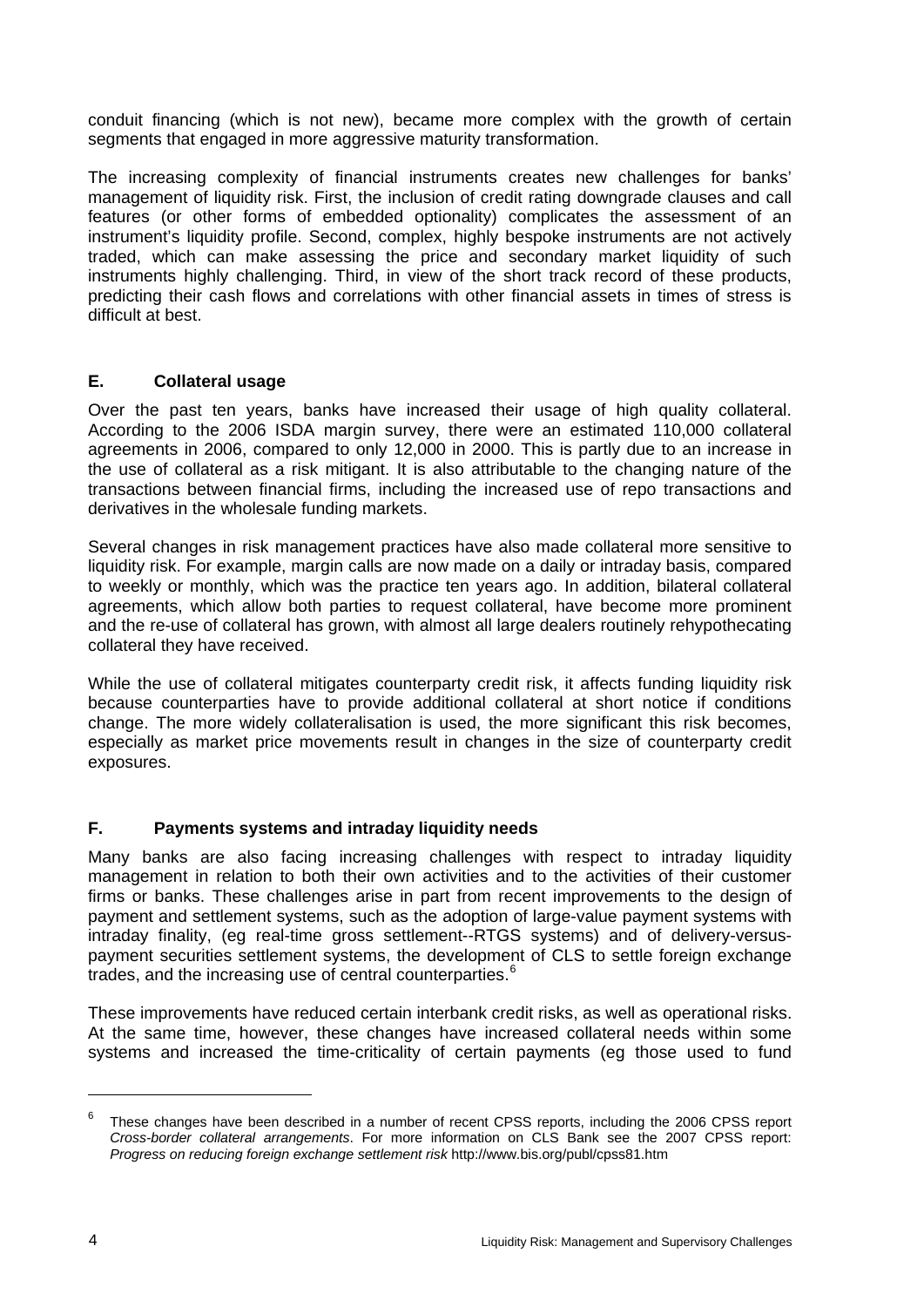<span id="page-9-0"></span>conduit financing (which is not new), became more complex with the growth of certain segments that engaged in more aggressive maturity transformation.

The increasing complexity of financial instruments creates new challenges for banks' management of liquidity risk. First, the inclusion of credit rating downgrade clauses and call features (or other forms of embedded optionality) complicates the assessment of an instrument's liquidity profile. Second, complex, highly bespoke instruments are not actively traded, which can make assessing the price and secondary market liquidity of such instruments highly challenging. Third, in view of the short track record of these products, predicting their cash flows and correlations with other financial assets in times of stress is difficult at best.

#### **E. Collateral usage**

Over the past ten years, banks have increased their usage of high quality collateral. According to the 2006 ISDA margin survey, there were an estimated 110,000 collateral agreements in 2006, compared to only 12,000 in 2000. This is partly due to an increase in the use of collateral as a risk mitigant. It is also attributable to the changing nature of the transactions between financial firms, including the increased use of repo transactions and derivatives in the wholesale funding markets.

Several changes in risk management practices have also made collateral more sensitive to liquidity risk. For example, margin calls are now made on a daily or intraday basis, compared to weekly or monthly, which was the practice ten years ago. In addition, bilateral collateral agreements, which allow both parties to request collateral, have become more prominent and the re-use of collateral has grown, with almost all large dealers routinely rehypothecating collateral they have received.

While the use of collateral mitigates counterparty credit risk, it affects funding liquidity risk because counterparties have to provide additional collateral at short notice if conditions change. The more widely collateralisation is used, the more significant this risk becomes, especially as market price movements result in changes in the size of counterparty credit exposures.

### **F. Payments systems and intraday liquidity needs**

Many banks are also facing increasing challenges with respect to intraday liquidity management in relation to both their own activities and to the activities of their customer firms or banks. These challenges arise in part from recent improvements to the design of payment and settlement systems, such as the adoption of large-value payment systems with intraday finality, (eg real-time gross settlement--RTGS systems) and of delivery-versuspayment securities settlement systems, the development of CLS to settle foreign exchange trades, and the increasing use of central counterparties.<sup>[6](#page-9-1)</sup>

These improvements have reduced certain interbank credit risks, as well as operational risks. At the same time, however, these changes have increased collateral needs within some systems and increased the time-criticality of certain payments (eg those used to fund

<span id="page-9-1"></span>These changes have been described in a number of recent CPSS reports, including the 2006 CPSS report *Cross-border collateral arrangements*. For more information on CLS Bank see the 2007 CPSS report: *Progress on reducing foreign exchange settlement risk* http://www.bis.org/publ/cpss81.htm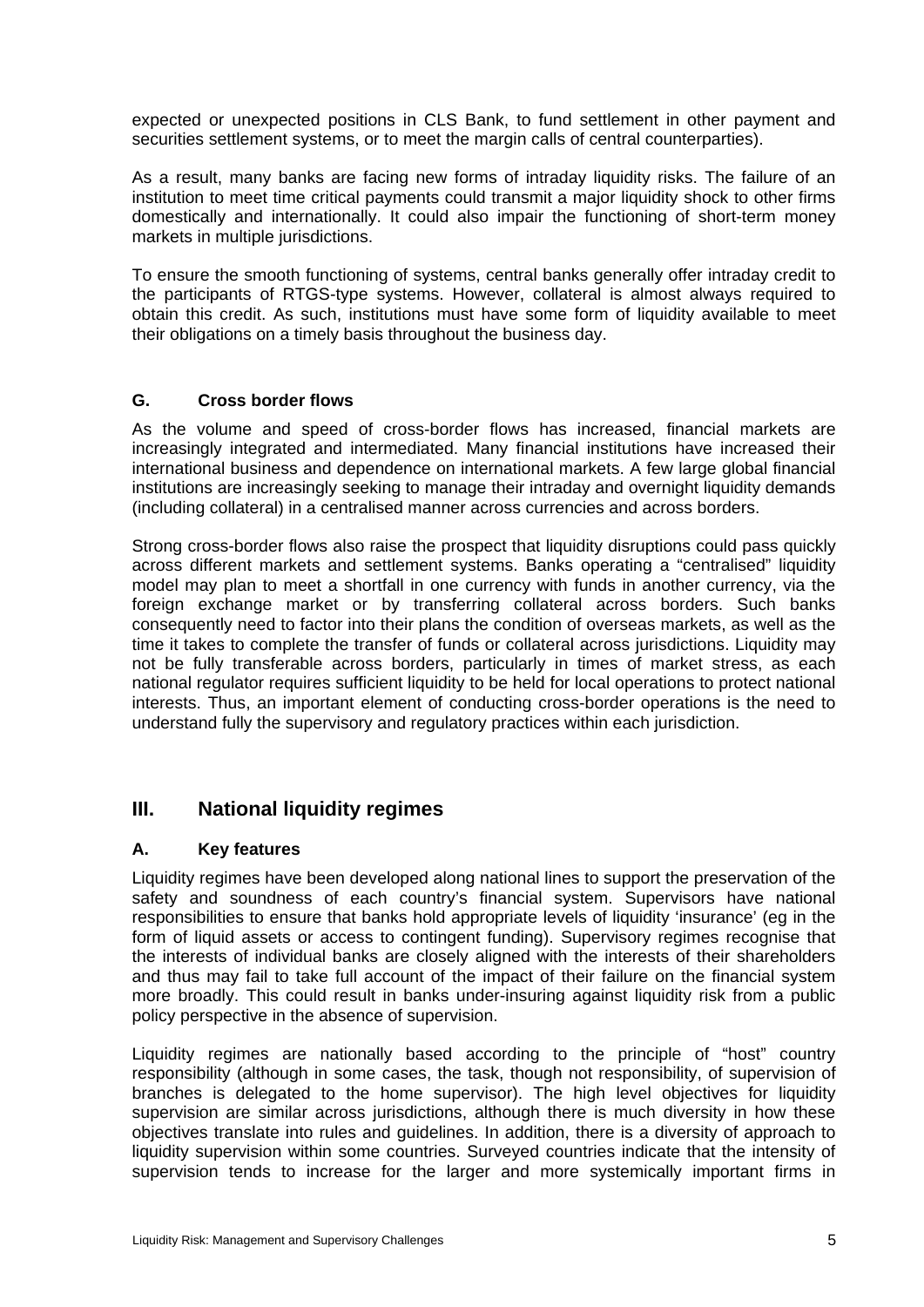<span id="page-10-0"></span>expected or unexpected positions in CLS Bank, to fund settlement in other payment and securities settlement systems, or to meet the margin calls of central counterparties).

As a result, many banks are facing new forms of intraday liquidity risks. The failure of an institution to meet time critical payments could transmit a major liquidity shock to other firms domestically and internationally. It could also impair the functioning of short-term money markets in multiple jurisdictions.

To ensure the smooth functioning of systems, central banks generally offer intraday credit to the participants of RTGS-type systems. However, collateral is almost always required to obtain this credit. As such, institutions must have some form of liquidity available to meet their obligations on a timely basis throughout the business day.

#### **G. Cross border flows**

As the volume and speed of cross-border flows has increased, financial markets are increasingly integrated and intermediated. Many financial institutions have increased their international business and dependence on international markets. A few large global financial institutions are increasingly seeking to manage their intraday and overnight liquidity demands (including collateral) in a centralised manner across currencies and across borders.

Strong cross-border flows also raise the prospect that liquidity disruptions could pass quickly across different markets and settlement systems. Banks operating a "centralised" liquidity model may plan to meet a shortfall in one currency with funds in another currency, via the foreign exchange market or by transferring collateral across borders. Such banks consequently need to factor into their plans the condition of overseas markets, as well as the time it takes to complete the transfer of funds or collateral across jurisdictions. Liquidity may not be fully transferable across borders, particularly in times of market stress, as each national regulator requires sufficient liquidity to be held for local operations to protect national interests. Thus, an important element of conducting cross-border operations is the need to understand fully the supervisory and regulatory practices within each jurisdiction.

# **III. National liquidity regimes**

#### **A. Key features**

Liquidity regimes have been developed along national lines to support the preservation of the safety and soundness of each country's financial system. Supervisors have national responsibilities to ensure that banks hold appropriate levels of liquidity 'insurance' (eg in the form of liquid assets or access to contingent funding). Supervisory regimes recognise that the interests of individual banks are closely aligned with the interests of their shareholders and thus may fail to take full account of the impact of their failure on the financial system more broadly. This could result in banks under-insuring against liquidity risk from a public policy perspective in the absence of supervision.

Liquidity regimes are nationally based according to the principle of "host" country responsibility (although in some cases, the task, though not responsibility, of supervision of branches is delegated to the home supervisor). The high level objectives for liquidity supervision are similar across jurisdictions, although there is much diversity in how these objectives translate into rules and guidelines. In addition, there is a diversity of approach to liquidity supervision within some countries. Surveyed countries indicate that the intensity of supervision tends to increase for the larger and more systemically important firms in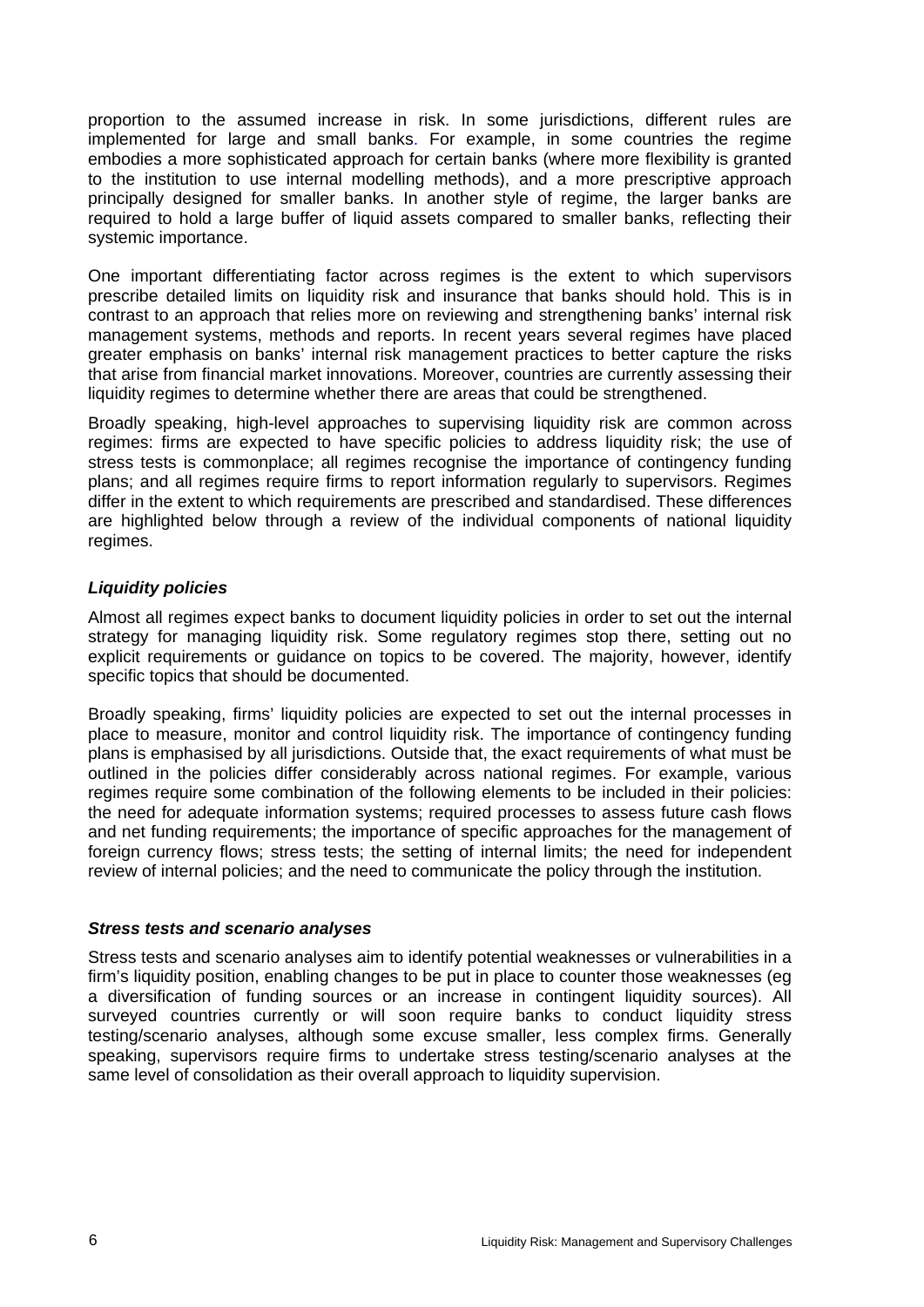proportion to the assumed increase in risk. In some jurisdictions, different rules are implemented for large and small banks. For example, in some countries the regime embodies a more sophisticated approach for certain banks (where more flexibility is granted to the institution to use internal modelling methods), and a more prescriptive approach principally designed for smaller banks. In another style of regime, the larger banks are required to hold a large buffer of liquid assets compared to smaller banks, reflecting their systemic importance.

One important differentiating factor across regimes is the extent to which supervisors prescribe detailed limits on liquidity risk and insurance that banks should hold. This is in contrast to an approach that relies more on reviewing and strengthening banks' internal risk management systems, methods and reports. In recent years several regimes have placed greater emphasis on banks' internal risk management practices to better capture the risks that arise from financial market innovations. Moreover, countries are currently assessing their liquidity regimes to determine whether there are areas that could be strengthened.

Broadly speaking, high-level approaches to supervising liquidity risk are common across regimes: firms are expected to have specific policies to address liquidity risk; the use of stress tests is commonplace; all regimes recognise the importance of contingency funding plans; and all regimes require firms to report information regularly to supervisors. Regimes differ in the extent to which requirements are prescribed and standardised. These differences are highlighted below through a review of the individual components of national liquidity regimes.

#### *Liquidity policies*

Almost all regimes expect banks to document liquidity policies in order to set out the internal strategy for managing liquidity risk. Some regulatory regimes stop there, setting out no explicit requirements or guidance on topics to be covered. The majority, however, identify specific topics that should be documented.

Broadly speaking, firms' liquidity policies are expected to set out the internal processes in place to measure, monitor and control liquidity risk. The importance of contingency funding plans is emphasised by all jurisdictions. Outside that, the exact requirements of what must be outlined in the policies differ considerably across national regimes. For example, various regimes require some combination of the following elements to be included in their policies: the need for adequate information systems; required processes to assess future cash flows and net funding requirements; the importance of specific approaches for the management of foreign currency flows; stress tests; the setting of internal limits; the need for independent review of internal policies; and the need to communicate the policy through the institution.

#### *Stress tests and scenario analyses*

Stress tests and scenario analyses aim to identify potential weaknesses or vulnerabilities in a firm's liquidity position, enabling changes to be put in place to counter those weaknesses (eg a diversification of funding sources or an increase in contingent liquidity sources). All surveyed countries currently or will soon require banks to conduct liquidity stress testing/scenario analyses, although some excuse smaller, less complex firms. Generally speaking, supervisors require firms to undertake stress testing/scenario analyses at the same level of consolidation as their overall approach to liquidity supervision.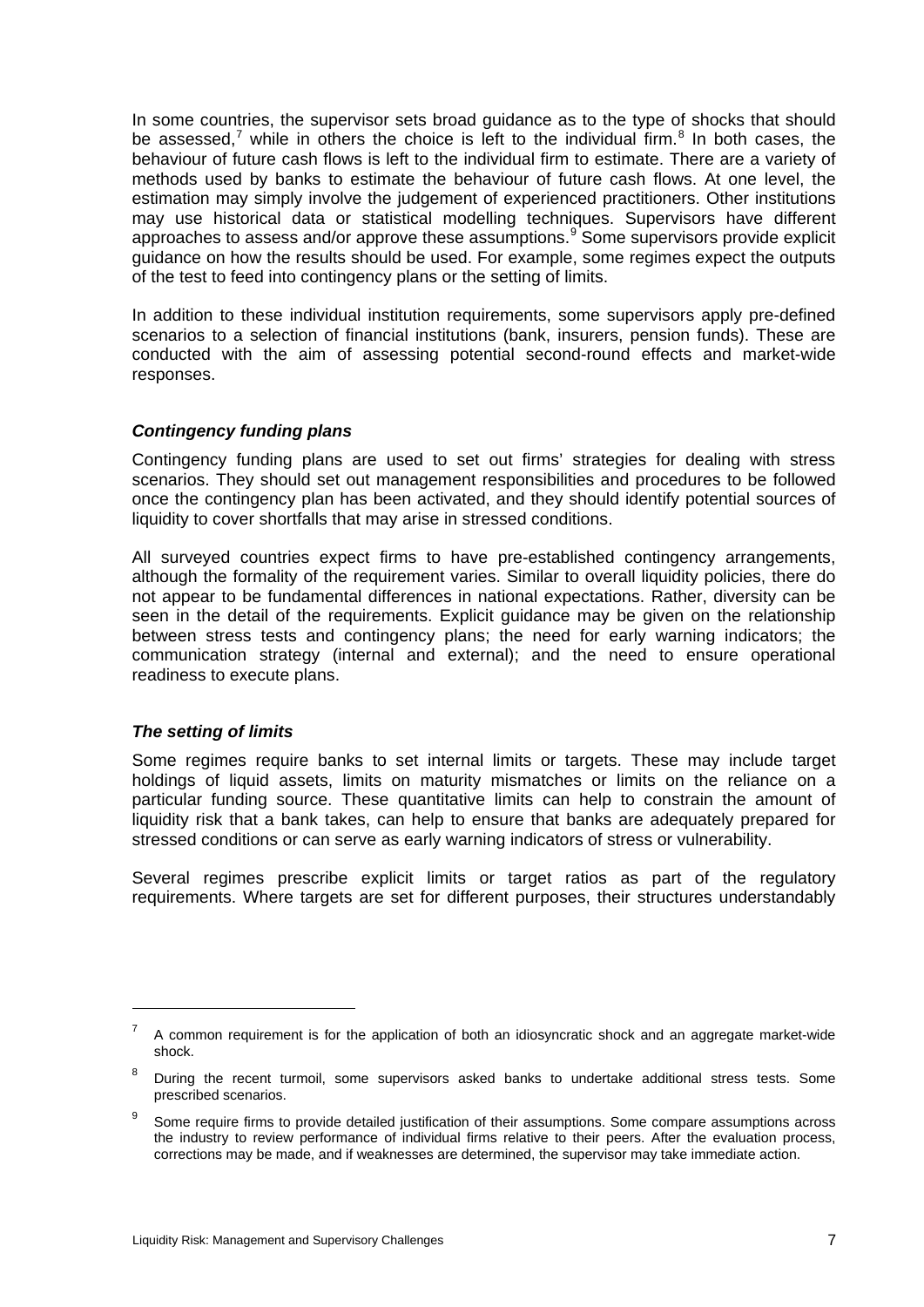In some countries, the supervisor sets broad guidance as to the type of shocks that should be assessed,<sup>[7](#page-12-0)</sup> while in others the choice is left to the individual firm.<sup>[8](#page-12-1)</sup> In both cases, the behaviour of future cash flows is left to the individual firm to estimate. There are a variety of methods used by banks to estimate the behaviour of future cash flows. At one level, the estimation may simply involve the judgement of experienced practitioners. Other institutions may use historical data or statistical modelling techniques. Supervisors have different approaches to assess and/or approve these assumptions.<sup>[9](#page-12-2)</sup> Some supervisors provide explicit guidance on how the results should be used. For example, some regimes expect the outputs of the test to feed into contingency plans or the setting of limits.

In addition to these individual institution requirements, some supervisors apply pre-defined scenarios to a selection of financial institutions (bank, insurers, pension funds). These are conducted with the aim of assessing potential second-round effects and market-wide responses.

#### *Contingency funding plans*

Contingency funding plans are used to set out firms' strategies for dealing with stress scenarios. They should set out management responsibilities and procedures to be followed once the contingency plan has been activated, and they should identify potential sources of liquidity to cover shortfalls that may arise in stressed conditions.

All surveyed countries expect firms to have pre-established contingency arrangements, although the formality of the requirement varies. Similar to overall liquidity policies, there do not appear to be fundamental differences in national expectations. Rather, diversity can be seen in the detail of the requirements. Explicit guidance may be given on the relationship between stress tests and contingency plans; the need for early warning indicators; the communication strategy (internal and external); and the need to ensure operational readiness to execute plans.

#### *The setting of limits*

1

Some regimes require banks to set internal limits or targets. These may include target holdings of liquid assets, limits on maturity mismatches or limits on the reliance on a particular funding source. These quantitative limits can help to constrain the amount of liquidity risk that a bank takes, can help to ensure that banks are adequately prepared for stressed conditions or can serve as early warning indicators of stress or vulnerability.

Several regimes prescribe explicit limits or target ratios as part of the regulatory requirements. Where targets are set for different purposes, their structures understandably

<span id="page-12-0"></span><sup>7</sup> A common requirement is for the application of both an idiosyncratic shock and an aggregate market-wide shock.

<span id="page-12-1"></span><sup>&</sup>lt;sup>8</sup> During the recent turmoil, some supervisors asked banks to undertake additional stress tests. Some prescribed scenarios.

<span id="page-12-2"></span><sup>9</sup> Some require firms to provide detailed justification of their assumptions. Some compare assumptions across the industry to review performance of individual firms relative to their peers. After the evaluation process, corrections may be made, and if weaknesses are determined, the supervisor may take immediate action.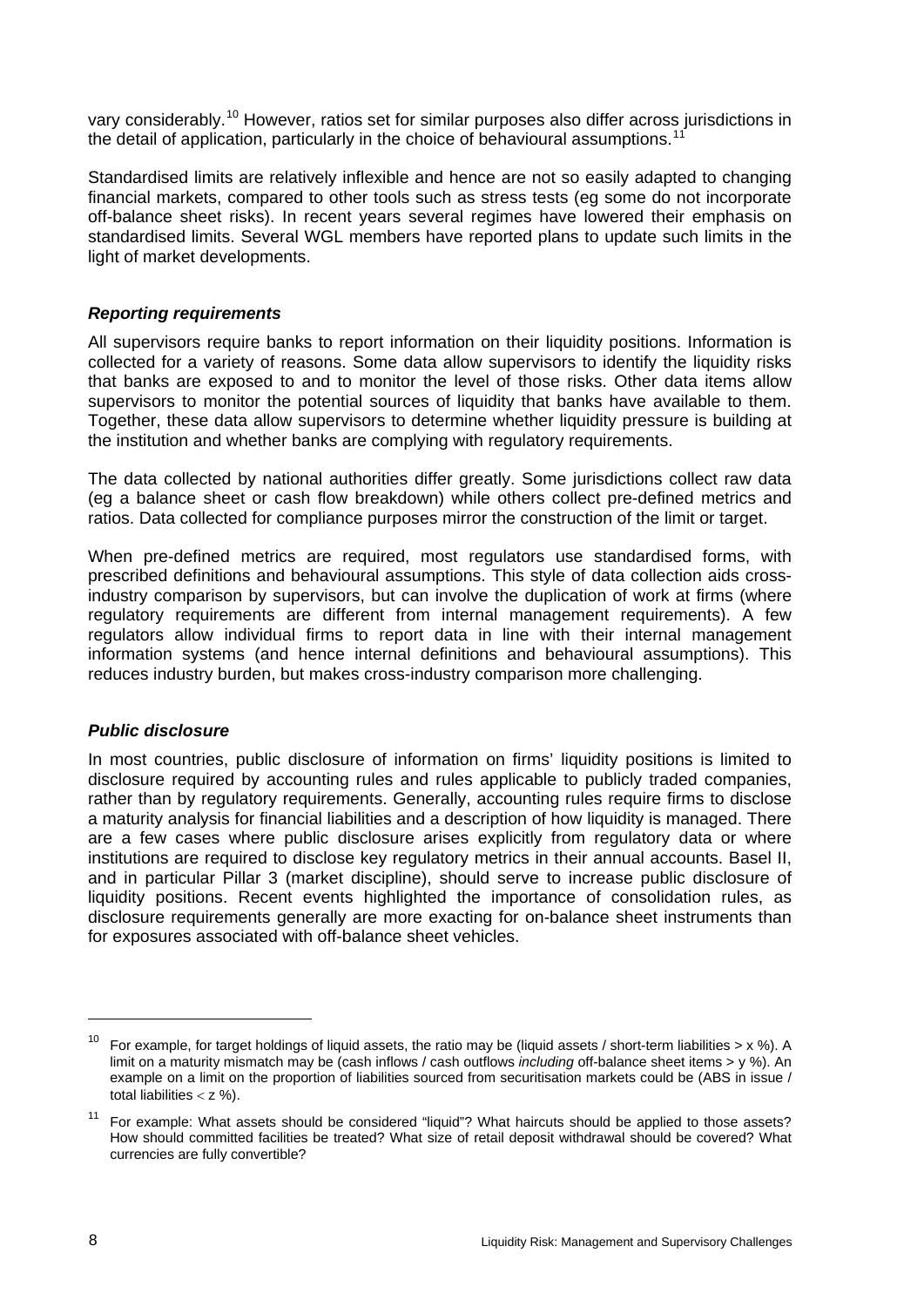vary considerably.[10](#page-13-0) However, ratios set for similar purposes also differ across jurisdictions in the detail of application, particularly in the choice of behavioural assumptions.<sup>[11](#page-13-1)</sup>

Standardised limits are relatively inflexible and hence are not so easily adapted to changing financial markets, compared to other tools such as stress tests (eg some do not incorporate off-balance sheet risks). In recent years several regimes have lowered their emphasis on standardised limits. Several WGL members have reported plans to update such limits in the light of market developments.

#### *Reporting requirements*

All supervisors require banks to report information on their liquidity positions. Information is collected for a variety of reasons. Some data allow supervisors to identify the liquidity risks that banks are exposed to and to monitor the level of those risks. Other data items allow supervisors to monitor the potential sources of liquidity that banks have available to them. Together, these data allow supervisors to determine whether liquidity pressure is building at the institution and whether banks are complying with regulatory requirements.

The data collected by national authorities differ greatly. Some jurisdictions collect raw data (eg a balance sheet or cash flow breakdown) while others collect pre-defined metrics and ratios. Data collected for compliance purposes mirror the construction of the limit or target.

When pre-defined metrics are required, most regulators use standardised forms, with prescribed definitions and behavioural assumptions. This style of data collection aids crossindustry comparison by supervisors, but can involve the duplication of work at firms (where regulatory requirements are different from internal management requirements). A few regulators allow individual firms to report data in line with their internal management information systems (and hence internal definitions and behavioural assumptions). This reduces industry burden, but makes cross-industry comparison more challenging.

#### *Public disclosure*

In most countries, public disclosure of information on firms' liquidity positions is limited to disclosure required by accounting rules and rules applicable to publicly traded companies, rather than by regulatory requirements. Generally, accounting rules require firms to disclose a maturity analysis for financial liabilities and a description of how liquidity is managed. There are a few cases where public disclosure arises explicitly from regulatory data or where institutions are required to disclose key regulatory metrics in their annual accounts. Basel II, and in particular Pillar 3 (market discipline), should serve to increase public disclosure of liquidity positions. Recent events highlighted the importance of consolidation rules, as disclosure requirements generally are more exacting for on-balance sheet instruments than for exposures associated with off-balance sheet vehicles.

 $\overline{a}$ 

<span id="page-13-0"></span>For example, for target holdings of liquid assets, the ratio may be (liquid assets / short-term liabilities  $> x$  %). A limit on a maturity mismatch may be (cash inflows / cash outflows *including* off-balance sheet items > y %). An example on a limit on the proportion of liabilities sourced from securitisation markets could be (ABS in issue / total liabilities  $<$  z %).

<span id="page-13-1"></span><sup>&</sup>lt;sup>11</sup> For example: What assets should be considered "liquid"? What haircuts should be applied to those assets? How should committed facilities be treated? What size of retail deposit withdrawal should be covered? What currencies are fully convertible?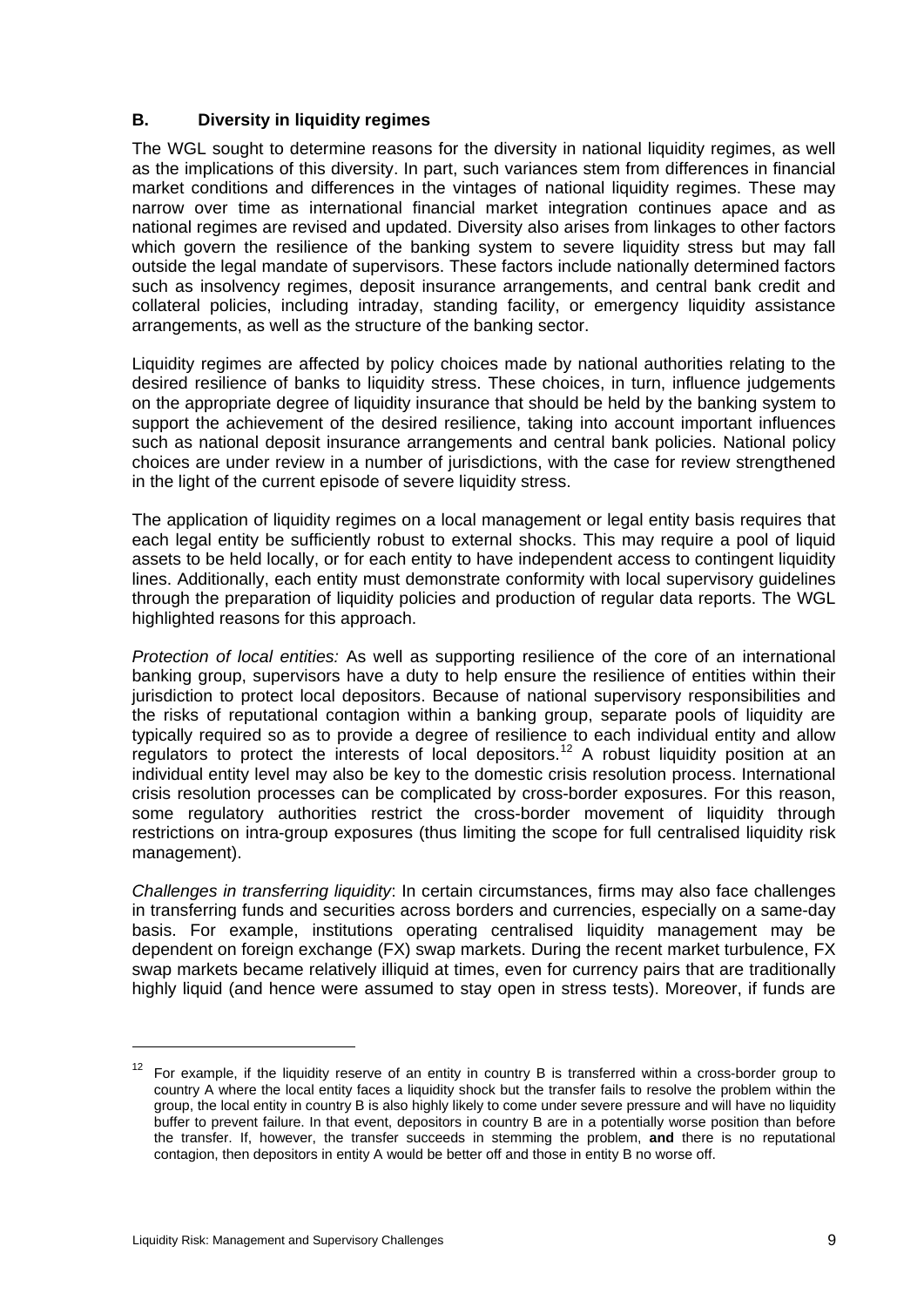### <span id="page-14-0"></span>**B. Diversity in liquidity regimes**

The WGL sought to determine reasons for the diversity in national liquidity regimes, as well as the implications of this diversity. In part, such variances stem from differences in financial market conditions and differences in the vintages of national liquidity regimes. These may narrow over time as international financial market integration continues apace and as national regimes are revised and updated. Diversity also arises from linkages to other factors which govern the resilience of the banking system to severe liquidity stress but may fall outside the legal mandate of supervisors. These factors include nationally determined factors such as insolvency regimes, deposit insurance arrangements, and central bank credit and collateral policies, including intraday, standing facility, or emergency liquidity assistance arrangements, as well as the structure of the banking sector.

Liquidity regimes are affected by policy choices made by national authorities relating to the desired resilience of banks to liquidity stress. These choices, in turn, influence judgements on the appropriate degree of liquidity insurance that should be held by the banking system to support the achievement of the desired resilience, taking into account important influences such as national deposit insurance arrangements and central bank policies. National policy choices are under review in a number of jurisdictions, with the case for review strengthened in the light of the current episode of severe liquidity stress.

The application of liquidity regimes on a local management or legal entity basis requires that each legal entity be sufficiently robust to external shocks. This may require a pool of liquid assets to be held locally, or for each entity to have independent access to contingent liquidity lines. Additionally, each entity must demonstrate conformity with local supervisory guidelines through the preparation of liquidity policies and production of regular data reports. The WGL highlighted reasons for this approach.

*Protection of local entities:* As well as supporting resilience of the core of an international banking group, supervisors have a duty to help ensure the resilience of entities within their jurisdiction to protect local depositors. Because of national supervisory responsibilities and the risks of reputational contagion within a banking group, separate pools of liquidity are typically required so as to provide a degree of resilience to each individual entity and allow regulators to protect the interests of local depositors.<sup>[1](#page-14-1)2</sup> A robust liquidity position at an individual entity level may also be key to the domestic crisis resolution process. International crisis resolution processes can be complicated by cross-border exposures. For this reason, some regulatory authorities restrict the cross-border movement of liquidity through restrictions on intra-group exposures (thus limiting the scope for full centralised liquidity risk management).

*Challenges in transferring liquidity*: In certain circumstances, firms may also face challenges in transferring funds and securities across borders and currencies, especially on a same-day basis. For example, institutions operating centralised liquidity management may be dependent on foreign exchange (FX) swap markets. During the recent market turbulence, FX swap markets became relatively illiquid at times, even for currency pairs that are traditionally highly liquid (and hence were assumed to stay open in stress tests). Moreover, if funds are

<span id="page-14-1"></span> $12$  For example, if the liquidity reserve of an entity in country B is transferred within a cross-border group to country A where the local entity faces a liquidity shock but the transfer fails to resolve the problem within the group, the local entity in country B is also highly likely to come under severe pressure and will have no liquidity buffer to prevent failure. In that event, depositors in country B are in a potentially worse position than before the transfer. If, however, the transfer succeeds in stemming the problem, **and** there is no reputational contagion, then depositors in entity A would be better off and those in entity B no worse off.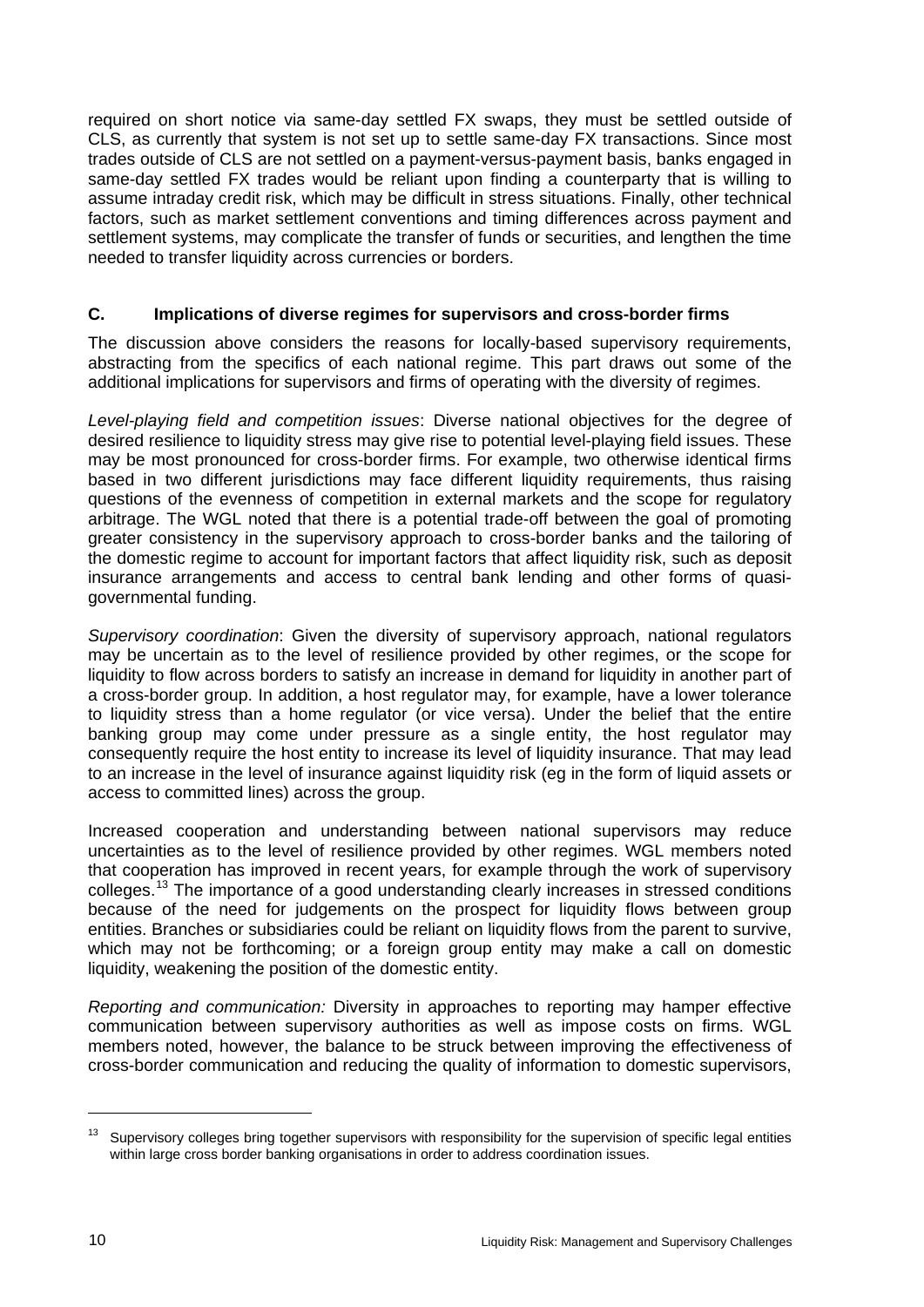<span id="page-15-0"></span>required on short notice via same-day settled FX swaps, they must be settled outside of CLS, as currently that system is not set up to settle same-day FX transactions. Since most trades outside of CLS are not settled on a payment-versus-payment basis, banks engaged in same-day settled FX trades would be reliant upon finding a counterparty that is willing to assume intraday credit risk, which may be difficult in stress situations. Finally, other technical factors, such as market settlement conventions and timing differences across payment and settlement systems, may complicate the transfer of funds or securities, and lengthen the time needed to transfer liquidity across currencies or borders.

#### **C. Implications of diverse regimes for supervisors and cross-border firms**

The discussion above considers the reasons for locally-based supervisory requirements, abstracting from the specifics of each national regime. This part draws out some of the additional implications for supervisors and firms of operating with the diversity of regimes.

*Level-playing field and competition issues*: Diverse national objectives for the degree of desired resilience to liquidity stress may give rise to potential level-playing field issues. These may be most pronounced for cross-border firms. For example, two otherwise identical firms based in two different jurisdictions may face different liquidity requirements, thus raising questions of the evenness of competition in external markets and the scope for regulatory arbitrage. The WGL noted that there is a potential trade-off between the goal of promoting greater consistency in the supervisory approach to cross-border banks and the tailoring of the domestic regime to account for important factors that affect liquidity risk, such as deposit insurance arrangements and access to central bank lending and other forms of quasigovernmental funding.

*Supervisory coordination*: Given the diversity of supervisory approach, national regulators may be uncertain as to the level of resilience provided by other regimes, or the scope for liquidity to flow across borders to satisfy an increase in demand for liquidity in another part of a cross-border group. In addition, a host regulator may, for example, have a lower tolerance to liquidity stress than a home regulator (or vice versa). Under the belief that the entire banking group may come under pressure as a single entity, the host regulator may consequently require the host entity to increase its level of liquidity insurance. That may lead to an increase in the level of insurance against liquidity risk (eg in the form of liquid assets or access to committed lines) across the group.

Increased cooperation and understanding between national supervisors may reduce uncertainties as to the level of resilience provided by other regimes. WGL members noted that cooperation has improved in recent years, for example through the work of supervisory colleges.<sup>[13](#page-15-1)</sup> The importance of a good understanding clearly increases in stressed conditions because of the need for judgements on the prospect for liquidity flows between group entities. Branches or subsidiaries could be reliant on liquidity flows from the parent to survive, which may not be forthcoming; or a foreign group entity may make a call on domestic liquidity, weakening the position of the domestic entity.

*Reporting and communication:* Diversity in approaches to reporting may hamper effective communication between supervisory authorities as well as impose costs on firms. WGL members noted, however, the balance to be struck between improving the effectiveness of cross-border communication and reducing the quality of information to domestic supervisors,

<span id="page-15-1"></span><sup>&</sup>lt;sup>13</sup> Supervisory colleges bring together supervisors with responsibility for the supervision of specific legal entities within large cross border banking organisations in order to address coordination issues.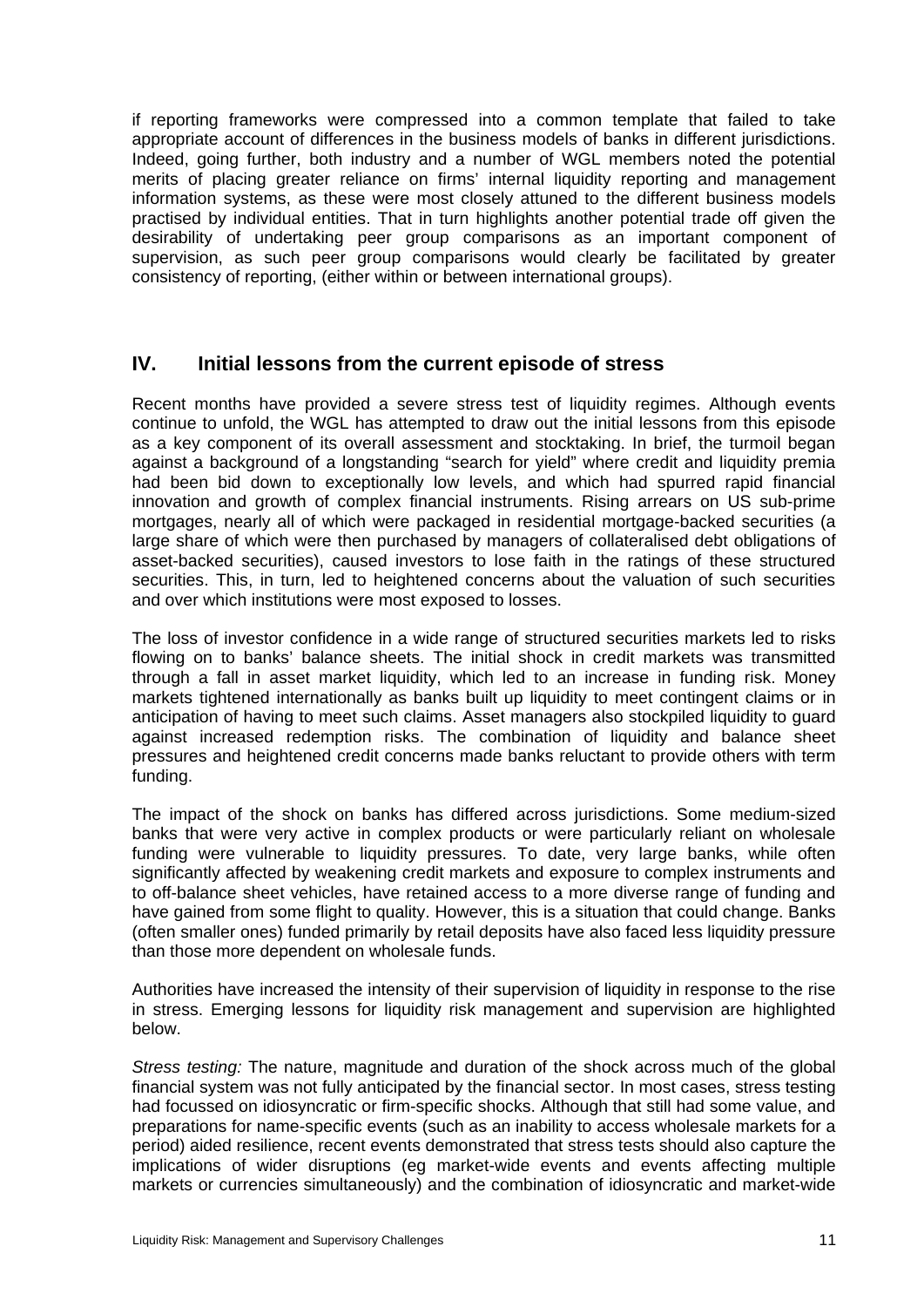<span id="page-16-0"></span>if reporting frameworks were compressed into a common template that failed to take appropriate account of differences in the business models of banks in different jurisdictions. Indeed, going further, both industry and a number of WGL members noted the potential merits of placing greater reliance on firms' internal liquidity reporting and management information systems, as these were most closely attuned to the different business models practised by individual entities. That in turn highlights another potential trade off given the desirability of undertaking peer group comparisons as an important component of supervision, as such peer group comparisons would clearly be facilitated by greater consistency of reporting, (either within or between international groups).

# **IV. Initial lessons from the current episode of stress**

Recent months have provided a severe stress test of liquidity regimes. Although events continue to unfold, the WGL has attempted to draw out the initial lessons from this episode as a key component of its overall assessment and stocktaking. In brief, the turmoil began against a background of a longstanding "search for yield" where credit and liquidity premia had been bid down to exceptionally low levels, and which had spurred rapid financial innovation and growth of complex financial instruments. Rising arrears on US sub-prime mortgages, nearly all of which were packaged in residential mortgage-backed securities (a large share of which were then purchased by managers of collateralised debt obligations of asset-backed securities), caused investors to lose faith in the ratings of these structured securities. This, in turn, led to heightened concerns about the valuation of such securities and over which institutions were most exposed to losses.

The loss of investor confidence in a wide range of structured securities markets led to risks flowing on to banks' balance sheets. The initial shock in credit markets was transmitted through a fall in asset market liquidity, which led to an increase in funding risk. Money markets tightened internationally as banks built up liquidity to meet contingent claims or in anticipation of having to meet such claims. Asset managers also stockpiled liquidity to guard against increased redemption risks. The combination of liquidity and balance sheet pressures and heightened credit concerns made banks reluctant to provide others with term funding.

The impact of the shock on banks has differed across jurisdictions. Some medium-sized banks that were very active in complex products or were particularly reliant on wholesale funding were vulnerable to liquidity pressures. To date, very large banks, while often significantly affected by weakening credit markets and exposure to complex instruments and to off-balance sheet vehicles, have retained access to a more diverse range of funding and have gained from some flight to quality. However, this is a situation that could change. Banks (often smaller ones) funded primarily by retail deposits have also faced less liquidity pressure than those more dependent on wholesale funds.

Authorities have increased the intensity of their supervision of liquidity in response to the rise in stress. Emerging lessons for liquidity risk management and supervision are highlighted below.

*Stress testing:* The nature, magnitude and duration of the shock across much of the global financial system was not fully anticipated by the financial sector. In most cases, stress testing had focussed on idiosyncratic or firm-specific shocks. Although that still had some value, and preparations for name-specific events (such as an inability to access wholesale markets for a period) aided resilience, recent events demonstrated that stress tests should also capture the implications of wider disruptions (eg market-wide events and events affecting multiple markets or currencies simultaneously) and the combination of idiosyncratic and market-wide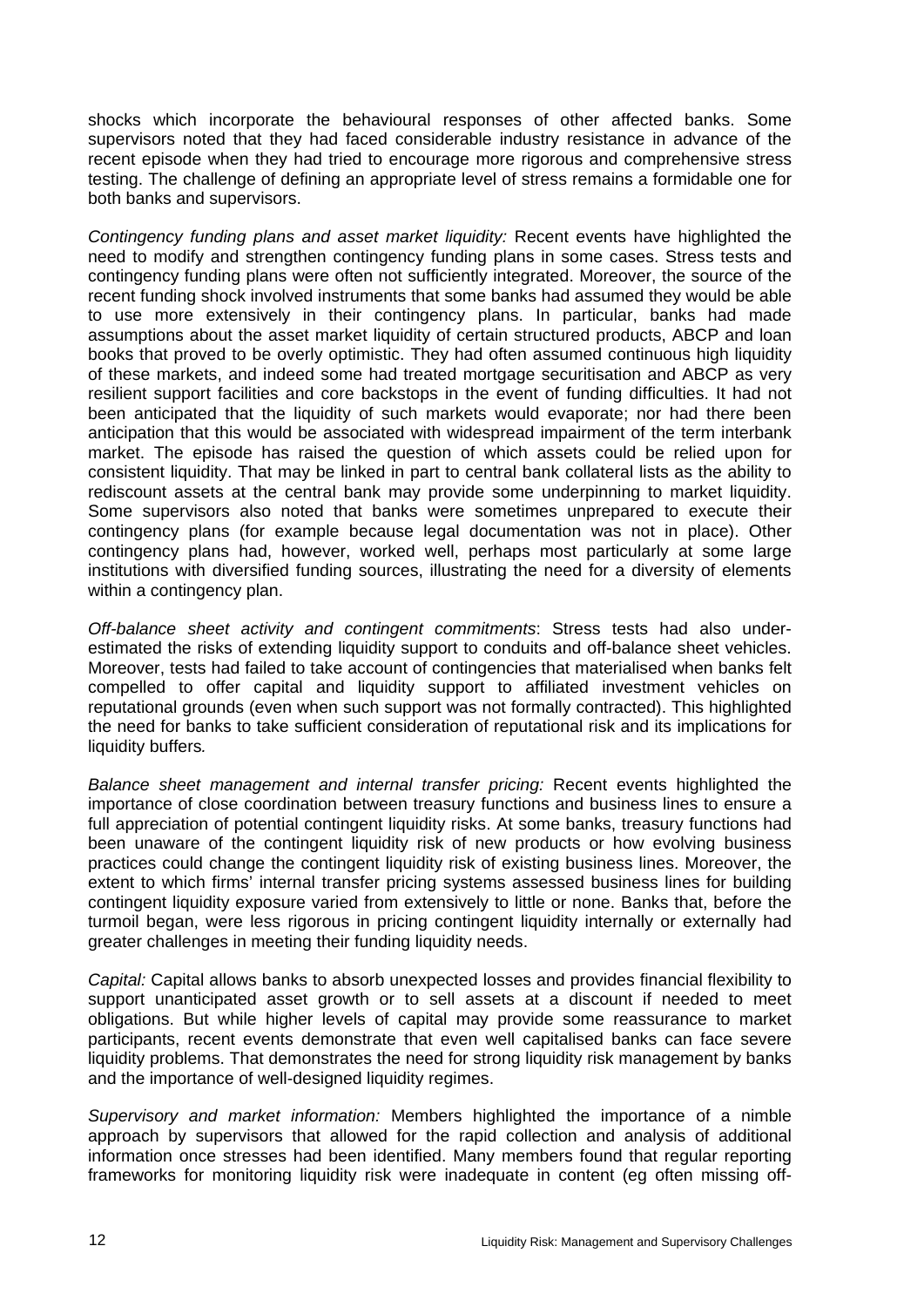shocks which incorporate the behavioural responses of other affected banks. Some supervisors noted that they had faced considerable industry resistance in advance of the recent episode when they had tried to encourage more rigorous and comprehensive stress testing. The challenge of defining an appropriate level of stress remains a formidable one for both banks and supervisors.

*Contingency funding plans and asset market liquidity:* Recent events have highlighted the need to modify and strengthen contingency funding plans in some cases. Stress tests and contingency funding plans were often not sufficiently integrated. Moreover, the source of the recent funding shock involved instruments that some banks had assumed they would be able to use more extensively in their contingency plans. In particular, banks had made assumptions about the asset market liquidity of certain structured products, ABCP and loan books that proved to be overly optimistic. They had often assumed continuous high liquidity of these markets, and indeed some had treated mortgage securitisation and ABCP as very resilient support facilities and core backstops in the event of funding difficulties. It had not been anticipated that the liquidity of such markets would evaporate; nor had there been anticipation that this would be associated with widespread impairment of the term interbank market. The episode has raised the question of which assets could be relied upon for consistent liquidity. That may be linked in part to central bank collateral lists as the ability to rediscount assets at the central bank may provide some underpinning to market liquidity. Some supervisors also noted that banks were sometimes unprepared to execute their contingency plans (for example because legal documentation was not in place). Other contingency plans had, however, worked well, perhaps most particularly at some large institutions with diversified funding sources, illustrating the need for a diversity of elements within a contingency plan.

*Off-balance sheet activity and contingent commitments*: Stress tests had also underestimated the risks of extending liquidity support to conduits and off-balance sheet vehicles. Moreover, tests had failed to take account of contingencies that materialised when banks felt compelled to offer capital and liquidity support to affiliated investment vehicles on reputational grounds (even when such support was not formally contracted). This highlighted the need for banks to take sufficient consideration of reputational risk and its implications for liquidity buffers*.* 

*Balance sheet management and internal transfer pricing:* Recent events highlighted the importance of close coordination between treasury functions and business lines to ensure a full appreciation of potential contingent liquidity risks. At some banks, treasury functions had been unaware of the contingent liquidity risk of new products or how evolving business practices could change the contingent liquidity risk of existing business lines. Moreover, the extent to which firms' internal transfer pricing systems assessed business lines for building contingent liquidity exposure varied from extensively to little or none. Banks that, before the turmoil began, were less rigorous in pricing contingent liquidity internally or externally had greater challenges in meeting their funding liquidity needs.

*Capital:* Capital allows banks to absorb unexpected losses and provides financial flexibility to support unanticipated asset growth or to sell assets at a discount if needed to meet obligations. But while higher levels of capital may provide some reassurance to market participants, recent events demonstrate that even well capitalised banks can face severe liquidity problems. That demonstrates the need for strong liquidity risk management by banks and the importance of well-designed liquidity regimes.

*Supervisory and market information:* Members highlighted the importance of a nimble approach by supervisors that allowed for the rapid collection and analysis of additional information once stresses had been identified. Many members found that regular reporting frameworks for monitoring liquidity risk were inadequate in content (eg often missing off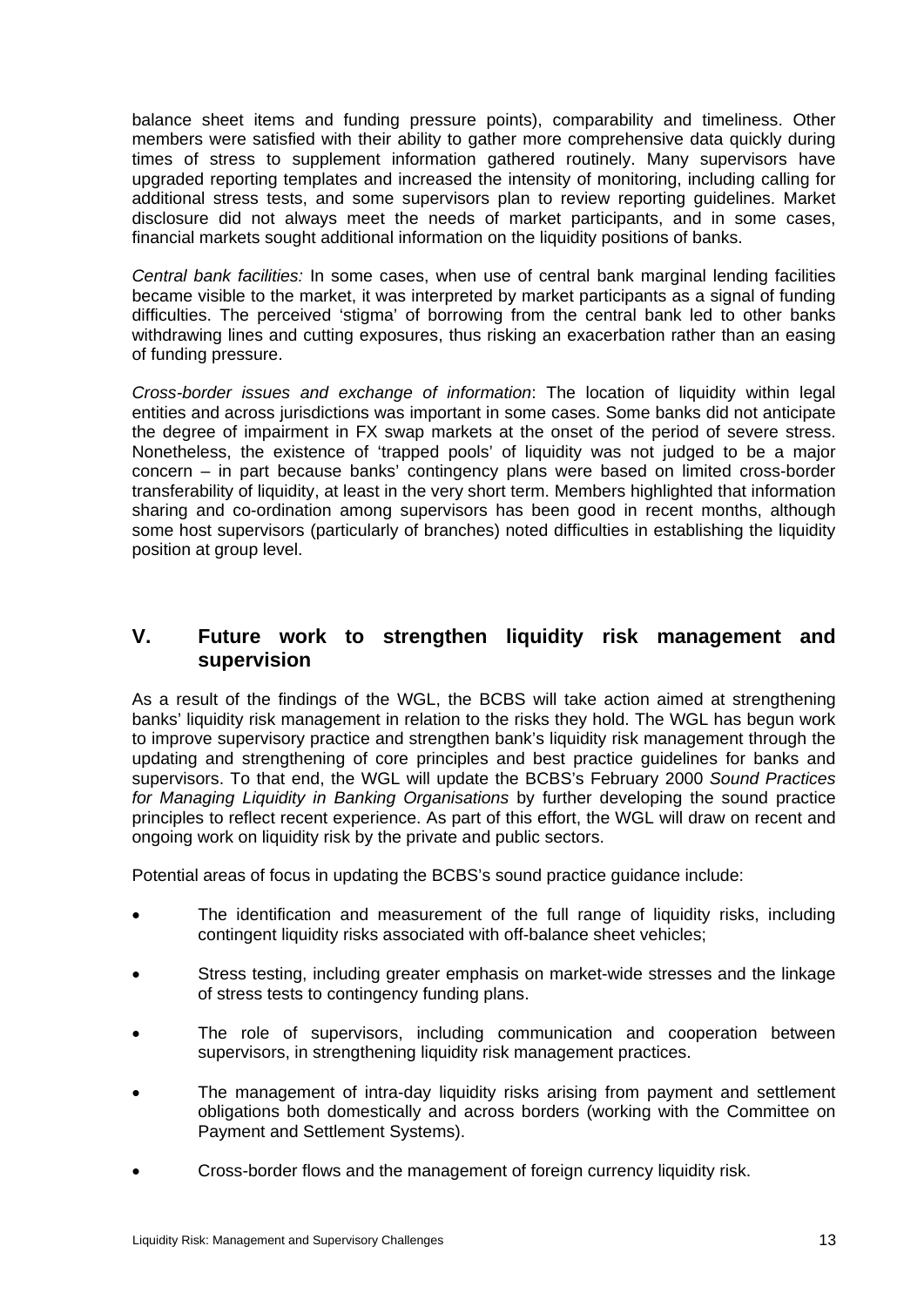<span id="page-18-0"></span>balance sheet items and funding pressure points), comparability and timeliness. Other members were satisfied with their ability to gather more comprehensive data quickly during times of stress to supplement information gathered routinely. Many supervisors have upgraded reporting templates and increased the intensity of monitoring, including calling for additional stress tests, and some supervisors plan to review reporting guidelines. Market disclosure did not always meet the needs of market participants, and in some cases, financial markets sought additional information on the liquidity positions of banks.

*Central bank facilities:* In some cases, when use of central bank marginal lending facilities became visible to the market, it was interpreted by market participants as a signal of funding difficulties. The perceived 'stigma' of borrowing from the central bank led to other banks withdrawing lines and cutting exposures, thus risking an exacerbation rather than an easing of funding pressure.

*Cross-border issues and exchange of information*: The location of liquidity within legal entities and across jurisdictions was important in some cases. Some banks did not anticipate the degree of impairment in FX swap markets at the onset of the period of severe stress. Nonetheless, the existence of 'trapped pools' of liquidity was not judged to be a major concern – in part because banks' contingency plans were based on limited cross-border transferability of liquidity, at least in the very short term. Members highlighted that information sharing and co-ordination among supervisors has been good in recent months, although some host supervisors (particularly of branches) noted difficulties in establishing the liquidity position at group level.

# **V. Future work to strengthen liquidity risk management and supervision**

As a result of the findings of the WGL, the BCBS will take action aimed at strengthening banks' liquidity risk management in relation to the risks they hold. The WGL has begun work to improve supervisory practice and strengthen bank's liquidity risk management through the updating and strengthening of core principles and best practice guidelines for banks and supervisors. To that end, the WGL will update the BCBS's February 2000 *Sound Practices for Managing Liquidity in Banking Organisations* by further developing the sound practice principles to reflect recent experience. As part of this effort, the WGL will draw on recent and ongoing work on liquidity risk by the private and public sectors.

Potential areas of focus in updating the BCBS's sound practice guidance include:

- The identification and measurement of the full range of liquidity risks, including contingent liquidity risks associated with off-balance sheet vehicles;
- Stress testing, including greater emphasis on market-wide stresses and the linkage of stress tests to contingency funding plans.
- The role of supervisors, including communication and cooperation between supervisors, in strengthening liquidity risk management practices.
- The management of intra-day liquidity risks arising from payment and settlement obligations both domestically and across borders (working with the Committee on Payment and Settlement Systems).
- Cross-border flows and the management of foreign currency liquidity risk.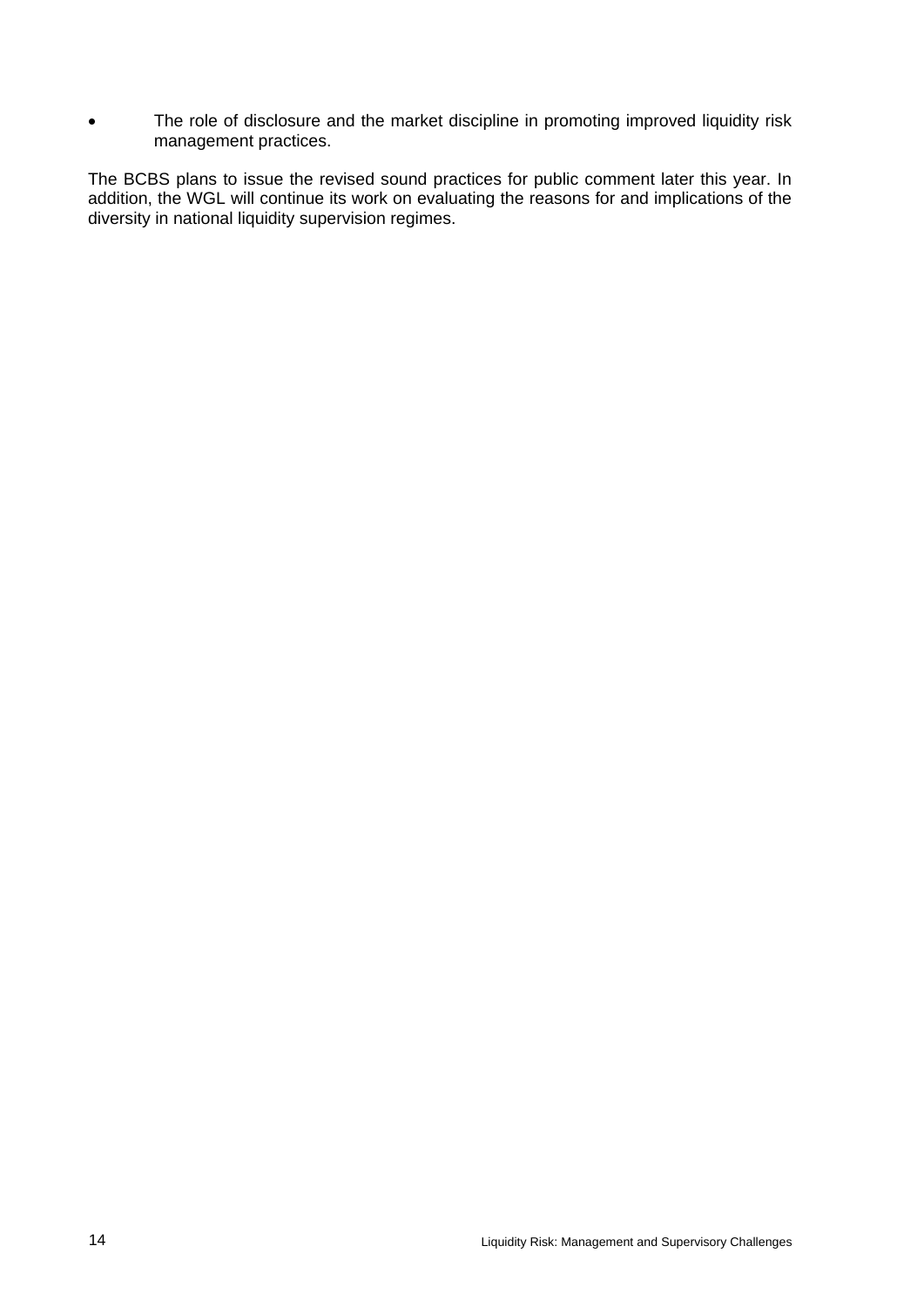• The role of disclosure and the market discipline in promoting improved liquidity risk management practices.

The BCBS plans to issue the revised sound practices for public comment later this year. In addition, the WGL will continue its work on evaluating the reasons for and implications of the diversity in national liquidity supervision regimes.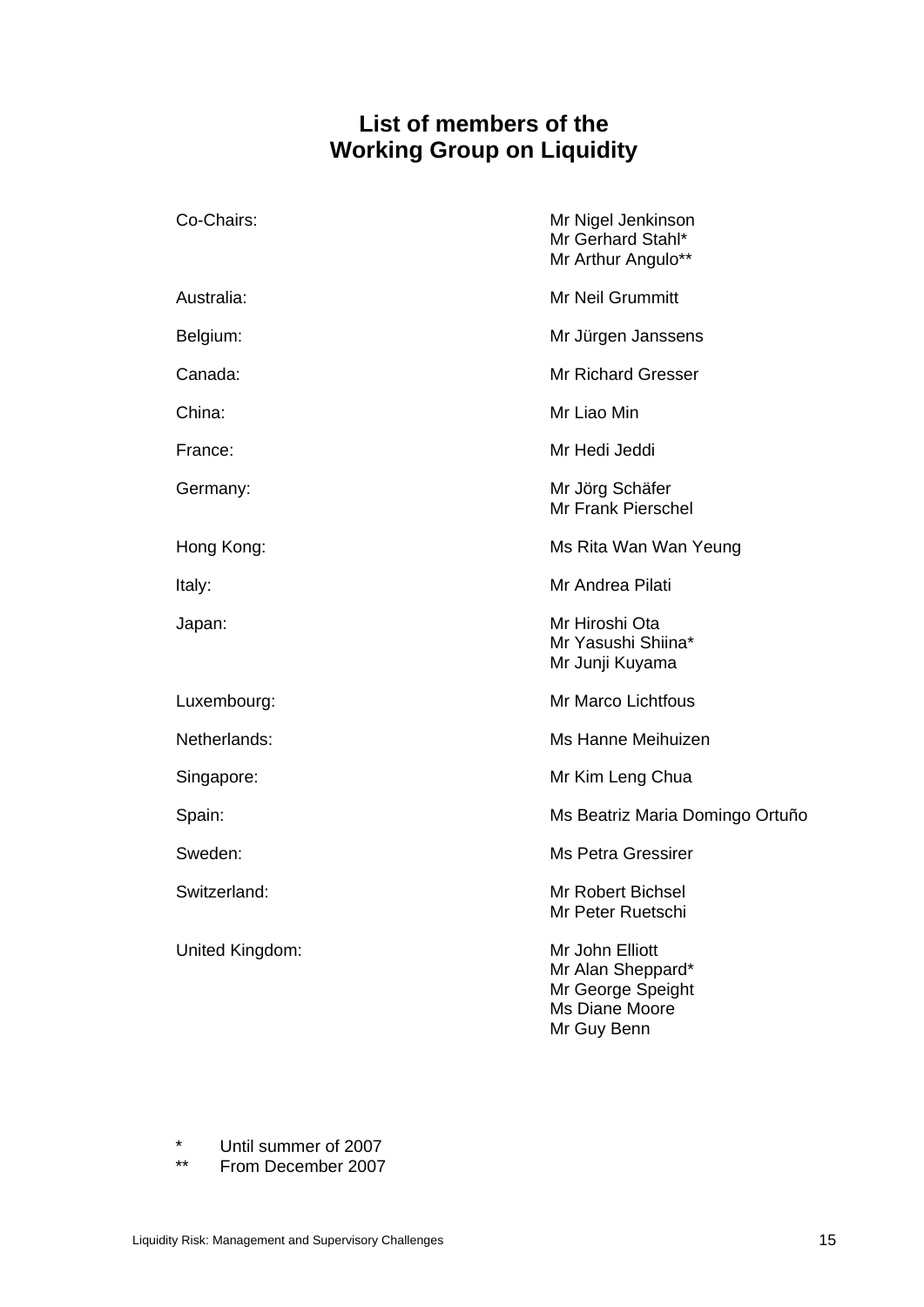# **List of members of the Working Group on Liquidity**

<span id="page-20-0"></span>

| Co-Chairs:      | Mr Nigel Jenkinson<br>Mr Gerhard Stahl*<br>Mr Arthur Angulo**                              |  |
|-----------------|--------------------------------------------------------------------------------------------|--|
| Australia:      | <b>Mr Neil Grummitt</b>                                                                    |  |
| Belgium:        | Mr Jürgen Janssens                                                                         |  |
| Canada:         | <b>Mr Richard Gresser</b>                                                                  |  |
| China:          | Mr Liao Min                                                                                |  |
| France:         | Mr Hedi Jeddi                                                                              |  |
| Germany:        | Mr Jörg Schäfer<br>Mr Frank Pierschel                                                      |  |
| Hong Kong:      | Ms Rita Wan Wan Yeung                                                                      |  |
| Italy:          | Mr Andrea Pilati                                                                           |  |
| Japan:          | Mr Hiroshi Ota<br>Mr Yasushi Shiina*<br>Mr Junji Kuyama                                    |  |
| Luxembourg:     | Mr Marco Lichtfous                                                                         |  |
| Netherlands:    | Ms Hanne Meihuizen                                                                         |  |
| Singapore:      | Mr Kim Leng Chua                                                                           |  |
| Spain:          | Ms Beatriz Maria Domingo Ortuño                                                            |  |
| Sweden:         | <b>Ms Petra Gressirer</b>                                                                  |  |
| Switzerland:    | Mr Robert Bichsel<br>Mr Peter Ruetschi                                                     |  |
| United Kingdom: | Mr John Elliott<br>Mr Alan Sheppard*<br>Mr George Speight<br>Ms Diane Moore<br>Mr Guy Benn |  |

\* Until summer of 2007<br>\*\* From December 2007

From December 2007